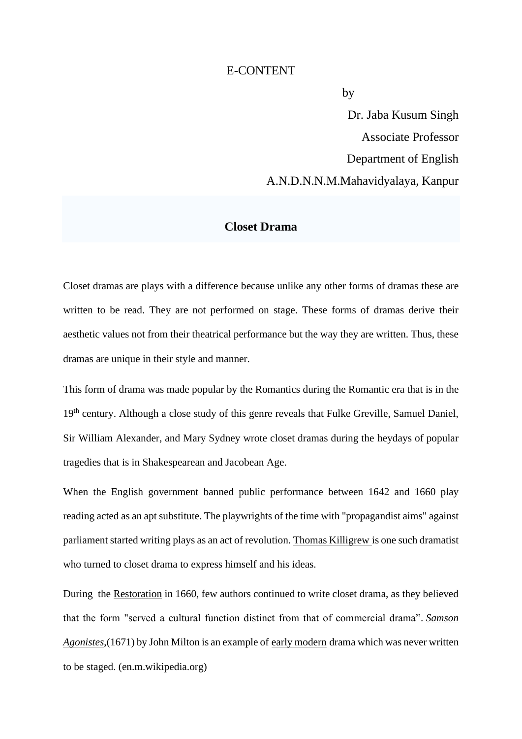## E-CONTENT

**by** the state of  $\mathbf{b}$ 

 Dr. Jaba Kusum Singh Associate Professor Department of English A.N.D.N.N.M.Mahavidyalaya, Kanpur

## **Closet Drama**

Closet dramas are plays with a difference because unlike any other forms of dramas these are written to be read. They are not performed on stage. These forms of dramas derive their aesthetic values not from their theatrical performance but the way they are written. Thus, these dramas are unique in their style and manner.

This form of drama was made popular by the Romantics during the Romantic era that is in the 19<sup>th</sup> century. Although a close study of this genre reveals that Fulke Greville, Samuel Daniel, Sir William Alexander, and Mary Sydney wrote closet dramas during the heydays of popular tragedies that is in Shakespearean and Jacobean Age.

When the English government banned public performance between 1642 and 1660 play reading acted as an apt substitute. The playwrights of the time with "propagandist aims" against parliament started writing plays as an act of revolution. [Thomas Killigrew](https://en.wikipedia.org/wiki/Thomas_Killigrew) is one such dramatist who turned to closet drama to express himself and his ideas.

During the [Restoration](https://en.wikipedia.org/wiki/Restoration_(England)) in 1660, few authors continued to write closet drama, as they believed that the form "served a cultural function distinct from that of commercial drama". *[Samson](https://en.wikipedia.org/wiki/Samson_Agonistes)  [Agonistes](https://en.wikipedia.org/wiki/Samson_Agonistes)*,(1671) by John Milton is an example of [early modern](https://en.wikipedia.org/wiki/Early_modern) drama which was never written to be staged. (en.m.wikipedia.org)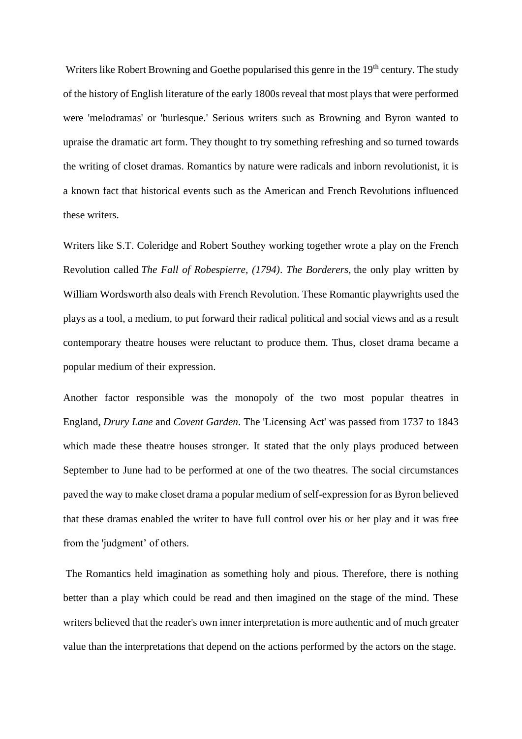Writers like Robert Browning and Goethe popularised this genre in the 19<sup>th</sup> century. The study of the history of English literature of the early 1800s reveal that most plays that were performed were 'melodramas' or 'burlesque.' Serious writers such as Browning and Byron wanted to upraise the dramatic art form. They thought to try something refreshing and so turned towards the writing of closet dramas. Romantics by nature were radicals and inborn revolutionist, it is a known fact that historical events such as the American and French Revolutions influenced these writers.

Writers like S.T. Coleridge and Robert Southey working together wrote a play on the French Revolution called *The Fall of Robespierre, (1794)*. *The Borderers,* the only play written by William Wordsworth also deals with French Revolution. These Romantic playwrights used the plays as a tool, a medium, to put forward their radical political and social views and as a result contemporary theatre houses were reluctant to produce them. Thus, closet drama became a popular medium of their expression.

Another factor responsible was the monopoly of the two most popular theatres in England, *Drury Lane* and *Covent Garden*. The 'Licensing Act' was passed from 1737 to 1843 which made these theatre houses stronger. It stated that the only plays produced between September to June had to be performed at one of the two theatres. The social circumstances paved the way to make closet drama a popular medium of self-expression for as Byron believed that these dramas enabled the writer to have full control over his or her play and it was free from the 'judgment' of others.

The Romantics held imagination as something holy and pious. Therefore, there is nothing better than a play which could be read and then imagined on the stage of the mind. These writers believed that the reader's own inner interpretation is more authentic and of much greater value than the interpretations that depend on the actions performed by the actors on the stage.